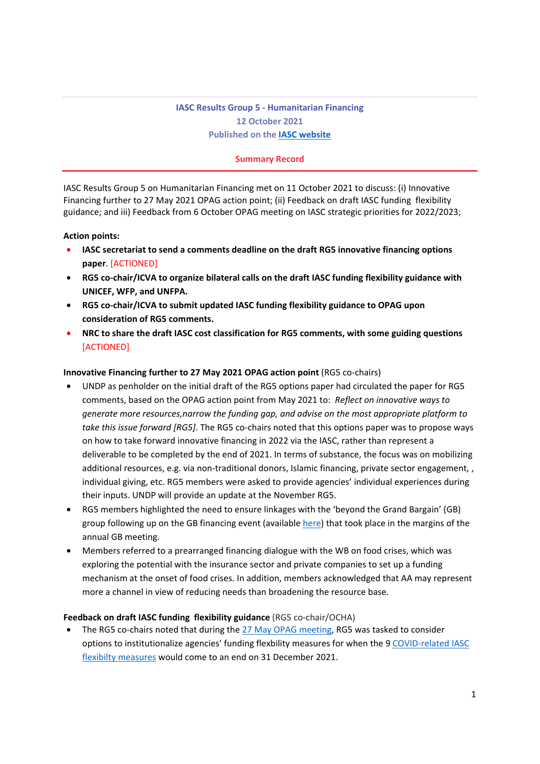# **IASC Results Group 5 - Humanitarian Financing 12 October 2021 Published on the IASC website**

### **Summary Record**

IASC Results Group 5 on Humanitarian Financing met on 11 October 2021 to discuss: (i) Innovative Financing further to 27 May 2021 OPAG action point; (ii) Feedback on draft IASC funding flexibility guidance; and iii) Feedback from 6 October OPAG meeting on IASC strategic priorities for 2022/2023;

#### **Action points:**

- **IASC secretariat to send a comments deadline on the draft RG5 innovative financing options paper**. [ACTIONED]
- **RG5 co-chair/ICVA to organize bilateral calls on the draft IASC funding flexibility guidance with UNICEF, WFP, and UNFPA.**
- **RG5 co-chair/ICVA to submit updated IASC funding flexibility guidance to OPAG upon consideration of RG5 comments.**
- **NRC to share the draft IASC cost classification for RG5 comments, with some guiding questions [ACTIONED]**

#### **Innovative Financing further to 27 May 2021 OPAG action point** (RG5 co-chairs)

- UNDP as penholder on the initial draft of the RG5 options paper had circulated the paper for RG5 comments, based on the OPAG action point from May 2021 to: *Reflect on innovative ways to generate more resources,narrow the funding gap, and advise on the most appropriate platform to take this issue forward [RG5]*. The RG5 co-chairs noted that this options paper was to propose ways on how to take forward innovative financing in 2022 via the IASC, rather than represent a deliverable to be completed by the end of 2021. In terms of substance, the focus was on mobilizing additional resources, e.g. via non-traditional donors, Islamic financing, private sector engagement, , individual giving, etc. RG5 members were asked to provide agencies' individual experiences during their inputs. UNDP will provide an update at the November RG5.
- RG5 members highlighted the need to ensure linkages with the 'beyond the Grand Bargain' (GB) group following up on the GB financing event (available here) that took place in the margins of the annual GB meeting*.*
- Members referred to a prearranged financing dialogue with the WB on food crises, which was exploring the potential with the insurance sector and private companies to set up a funding mechanism at the onset of food crises. In addition, members acknowledged that AA may represent more a channel in view of reducing needs than broadening the resource base.

#### **Feedback on draft IASC funding flexibility guidance** (RG5 co-chair/OCHA)

The RG5 co-chairs noted that during the 27 May OPAG meeting, RG5 was tasked to consider options to institutionalize agencies' funding flexbility measures for when the 9 COVID-related IASC flexibilty measures would come to an end on 31 December 2021.